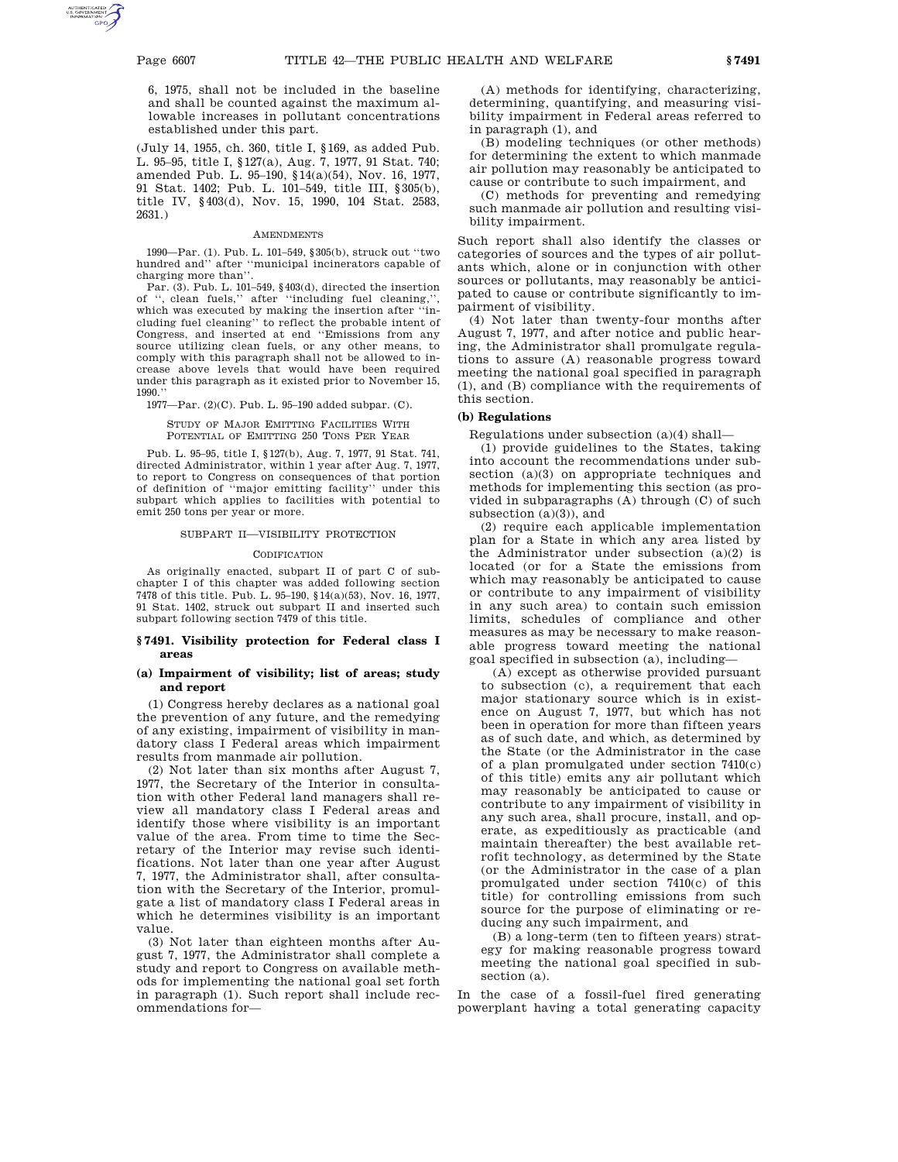6, 1975, shall not be included in the baseline and shall be counted against the maximum allowable increases in pollutant concentrations established under this part.

(July 14, 1955, ch. 360, title I, §169, as added Pub. L. 95–95, title I, §127(a), Aug. 7, 1977, 91 Stat. 740; amended Pub. L. 95–190, §14(a)(54), Nov. 16, 1977, 91 Stat. 1402; Pub. L. 101–549, title III, §305(b), title IV, §403(d), Nov. 15, 1990, 104 Stat. 2583, 2631.)

#### AMENDMENTS

1990—Par. (1). Pub. L. 101–549, §305(b), struck out ''two hundred and'' after ''municipal incinerators capable of charging more than''.

Par. (3). Pub. L. 101–549, §403(d), directed the insertion of '', clean fuels,'' after ''including fuel cleaning,'', which was executed by making the insertion after ''including fuel cleaning'' to reflect the probable intent of Congress, and inserted at end ''Emissions from any source utilizing clean fuels, or any other means, to comply with this paragraph shall not be allowed to increase above levels that would have been required under this paragraph as it existed prior to November 15, 1990.''

1977—Par. (2)(C). Pub. L. 95–190 added subpar. (C).

STUDY OF MAJOR EMITTING FACILITIES WITH POTENTIAL OF EMITTING 250 TONS PER YEAR

Pub. L. 95–95, title I, §127(b), Aug. 7, 1977, 91 Stat. 741, directed Administrator, within 1 year after Aug. 7, 1977, to report to Congress on consequences of that portion of definition of ''major emitting facility'' under this subpart which applies to facilities with potential to emit 250 tons per year or more.

### SUBPART II—VISIBILITY PROTECTION

# **CODIFICATION**

As originally enacted, subpart II of part C of subchapter I of this chapter was added following section 7478 of this title. Pub. L. 95–190, §14(a)(53), Nov. 16, 1977, 91 Stat. 1402, struck out subpart II and inserted such subpart following section 7479 of this title.

### **§ 7491. Visibility protection for Federal class I areas**

# **(a) Impairment of visibility; list of areas; study and report**

(1) Congress hereby declares as a national goal the prevention of any future, and the remedying of any existing, impairment of visibility in mandatory class I Federal areas which impairment results from manmade air pollution.

(2) Not later than six months after August 7, 1977, the Secretary of the Interior in consultation with other Federal land managers shall review all mandatory class I Federal areas and identify those where visibility is an important value of the area. From time to time the Secretary of the Interior may revise such identifications. Not later than one year after August 7, 1977, the Administrator shall, after consultation with the Secretary of the Interior, promulgate a list of mandatory class I Federal areas in which he determines visibility is an important value.

(3) Not later than eighteen months after August 7, 1977, the Administrator shall complete a study and report to Congress on available methods for implementing the national goal set forth in paragraph (1). Such report shall include recommendations for—

(A) methods for identifying, characterizing, determining, quantifying, and measuring visibility impairment in Federal areas referred to in paragraph (1), and

(B) modeling techniques (or other methods) for determining the extent to which manmade air pollution may reasonably be anticipated to cause or contribute to such impairment, and

(C) methods for preventing and remedying such manmade air pollution and resulting visibility impairment.

Such report shall also identify the classes or categories of sources and the types of air pollutants which, alone or in conjunction with other sources or pollutants, may reasonably be anticipated to cause or contribute significantly to impairment of visibility.

(4) Not later than twenty-four months after August 7, 1977, and after notice and public hearing, the Administrator shall promulgate regulations to assure (A) reasonable progress toward meeting the national goal specified in paragraph (1), and (B) compliance with the requirements of this section.

# **(b) Regulations**

Regulations under subsection (a)(4) shall—

(1) provide guidelines to the States, taking into account the recommendations under subsection (a)(3) on appropriate techniques and methods for implementing this section (as provided in subparagraphs (A) through (C) of such subsection (a)(3)), and

(2) require each applicable implementation plan for a State in which any area listed by the Administrator under subsection (a)(2) is located (or for a State the emissions from which may reasonably be anticipated to cause or contribute to any impairment of visibility in any such area) to contain such emission limits, schedules of compliance and other measures as may be necessary to make reasonable progress toward meeting the national goal specified in subsection (a), including—

(A) except as otherwise provided pursuant to subsection (c), a requirement that each major stationary source which is in existence on August 7, 1977, but which has not been in operation for more than fifteen years as of such date, and which, as determined by the State (or the Administrator in the case of a plan promulgated under section 7410(c) of this title) emits any air pollutant which may reasonably be anticipated to cause or contribute to any impairment of visibility in any such area, shall procure, install, and operate, as expeditiously as practicable (and maintain thereafter) the best available retrofit technology, as determined by the State (or the Administrator in the case of a plan promulgated under section 7410(c) of this title) for controlling emissions from such source for the purpose of eliminating or reducing any such impairment, and

(B) a long-term (ten to fifteen years) strategy for making reasonable progress toward meeting the national goal specified in subsection (a).

In the case of a fossil-fuel fired generating powerplant having a total generating capacity